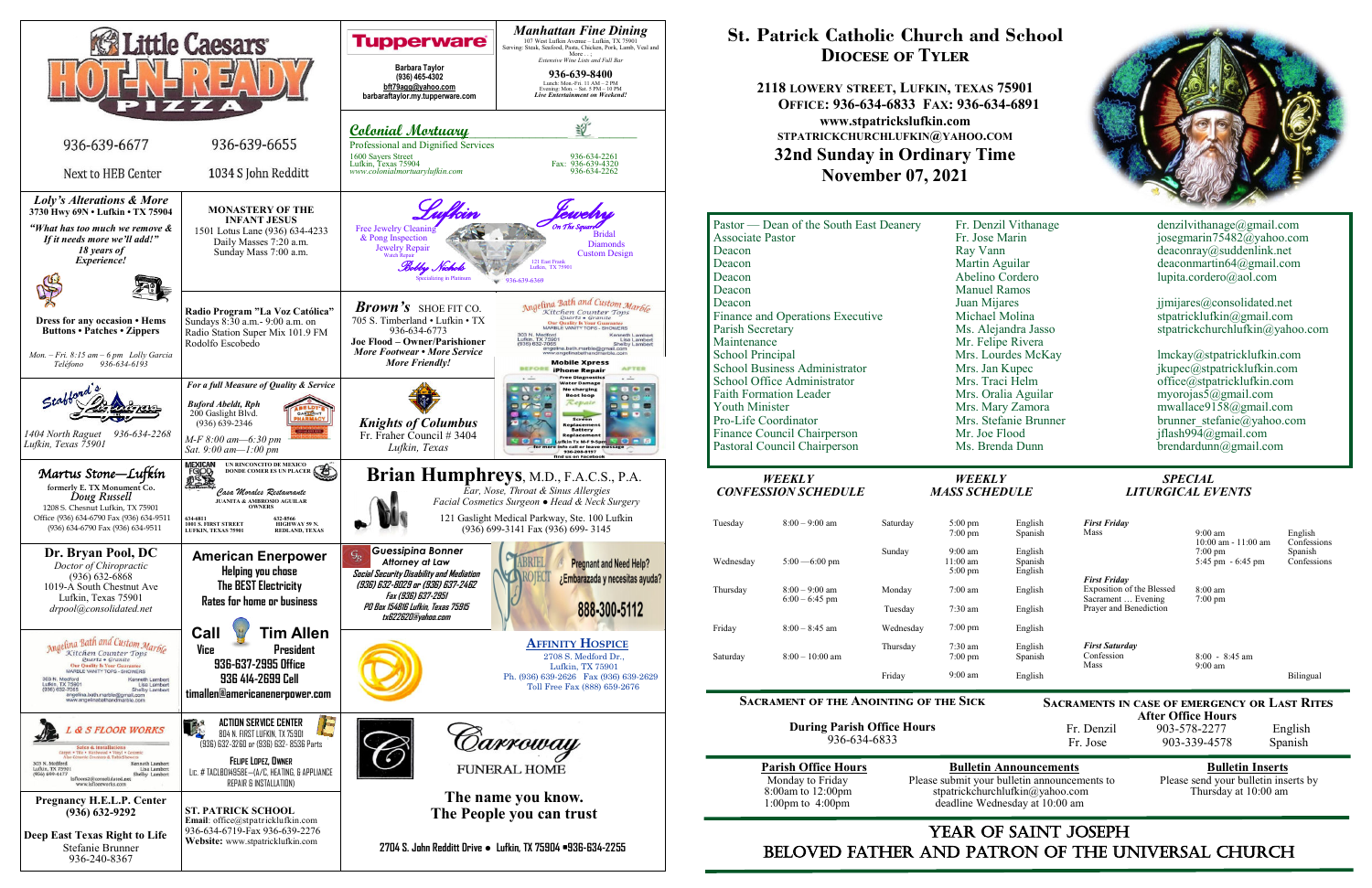

# YEAR OF SAINT JOSEPH beloved father AND Patron of the Universal Church

**After Office Hours**<br>Fr. Denzil 903-578-2277 903-578-2277 English Fr. Jose 903-339-4578 Spanish

Please submit your bulletin announcements to deadline Wednesday at 10:00 am

# **Parish Conserved Bulletin Announcements**<br>Please submit your bulletin announcements to Please send your bulletin inserts by stpatrickchurchlufkin@yahoo.com Thursday at 10:00 am

# **St. Patrick Catholic Church and School Diocese of Tyler**

**2118 LOWERY STREET, LUFKIN, TEXAS 75901 OFFICE: 936-634-6833 FAX: 936-634-6891 www.stpatrickslufkin.com STPATRICKCHURCHLUFKIN@YAHOO.COM 32nd Sunday in Ordinary Time November 07, 2021**

| WEEKLY<br><b>CONFESSION SCHEDULE</b>    | WEEKLY<br><b>MASS SCHEDULE</b> | <b>SPECIAL</b><br><b>LITURGICAL EVENTS</b> |
|-----------------------------------------|--------------------------------|--------------------------------------------|
|                                         |                                |                                            |
| Pastoral Council Chairperson            | Ms. Brenda Dunn                | brendardunn@gmail.com                      |
| Finance Council Chairperson             | Mr. Joe Flood                  | jflash994@gmail.com                        |
| Pro-Life Coordinator                    | Mrs. Stefanie Brunner          | brunner stefanie@yahoo.com                 |
| <b>Youth Minister</b>                   | Mrs. Mary Zamora               | mwallace9158@gmail.com                     |
| <b>Faith Formation Leader</b>           | Mrs. Oralia Aguilar            | myorojas5@gmail.com                        |
| School Office Administrator             | Mrs. Traci Helm                | office@stpatricklufkin.com                 |
| <b>School Business Administrator</b>    | Mrs. Jan Kupec                 | jkupec@stpatricklufkin.com                 |
| <b>School Principal</b>                 | Mrs. Lourdes McKay             | lmckay@stpatricklufkin.com                 |
| Maintenance                             | Mr. Felipe Rivera              |                                            |
| Parish Secretary                        | Ms. Alejandra Jasso            | stpatrickchurchlufkin@yahoo.com            |
| Finance and Operations Executive        | Michael Molina                 | stpatricklufkin@gmail.com                  |
| Deacon                                  | Juan Mijares                   | jimijares@consolidated.net                 |
| Deacon                                  | <b>Manuel Ramos</b>            |                                            |
| Deacon                                  | Abelino Cordero                | lupita.cordero@aol.com                     |
| Deacon                                  | Martin Aguilar                 | deaconmartin64@gmail.com                   |
| Deacon                                  | Ray Vann                       | deaconray@suddenlink.net                   |
| <b>Associate Pastor</b>                 | Fr. Jose Marin                 | josegmarin75482@yahoo.com                  |
| Pastor — Dean of the South East Deanery |                                |                                            |

### **Sacrament of the Anointing of the Sick**

**During Parish Office Hours**  936-634-6833

| <b>Parish Office Hour</b> |
|---------------------------|
| Monday to Friday          |
| 8:00am to 12:00pm         |
| 1:00pm to $4:00$ pm       |

**Sacraments in case of emergency or Last Rites** 

| Tuesday   | $8:00-9:00$ am   | Saturday  | $5:00 \text{ pm}$<br>$7:00 \text{ pm}$                       |
|-----------|------------------|-----------|--------------------------------------------------------------|
| Wednesday | $5:00 - 6:00$ pm | Sunday    | $9:00 \text{ am}$<br>$11:00 \text{ am}$<br>$5:00 \text{ pm}$ |
| Thursday  | $8:00 - 9:00$ am | Monday    | $7:00 \text{ am}$                                            |
|           | $6:00 - 6:45$ pm | Tuesday   | $7:30$ am                                                    |
| Friday    | $8:00 - 8:45$ am | Wednesday | $7:00 \text{ pm}$                                            |
| Saturday  | $8:00-10:00$ am  | Thursday  | $7:30 \text{ am}$<br>$7:00 \text{ pm}$                       |
|           |                  | Friday    | $9:00 \text{ am}$                                            |

| English | <b>First Friday</b>                             |                                              |                        |
|---------|-------------------------------------------------|----------------------------------------------|------------------------|
| Spanish | Mass                                            | $9:00 \text{ am}$<br>$10:00$ am - $11:00$ am | English<br>Confessions |
| English |                                                 | $7:00 \text{ pm}$                            | Spanish                |
| Spanish |                                                 | $5:45 \text{ pm} - 6:45 \text{ pm}$          | Confessions            |
| English | <b>First Friday</b>                             |                                              |                        |
| English | Exposition of the Blessed<br>Sacrament  Evening | $8:00 \text{ am}$                            |                        |
| English | Prayer and Benediction                          | $7:00 \text{ pm}$                            |                        |
| English |                                                 |                                              |                        |
| English | <b>First Saturday</b>                           |                                              |                        |
| Spanish | Confession                                      | $8:00 - 8:45$ am                             |                        |
|         | Mass                                            | $9:00 \text{ am}$                            |                        |
| English |                                                 |                                              | Bilingual              |